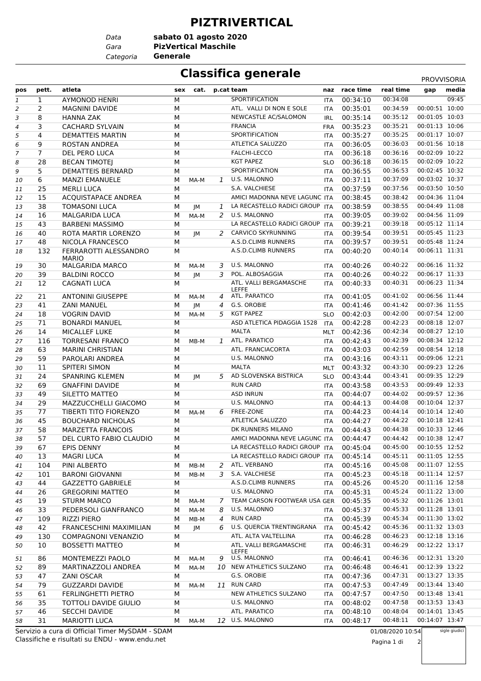#### **PIZTRIVERTICAL**

*Data*

*Gara* **PizVertical Maschile sabato 01 agosto 2020**

*Categoria* **Generale**

# **Classifica generale** PROVISORIA

|                |                |                                                 |   |                     |              |                                 |            |               |                  | <b>FRUVVIJURIA</b> |
|----------------|----------------|-------------------------------------------------|---|---------------------|--------------|---------------------------------|------------|---------------|------------------|--------------------|
| pos            | pett.          | atleta                                          |   | sex cat. p.cat team |              |                                 |            | naz race time | real time        | media<br>gap       |
| 1              | $\mathbf{1}$   | <b>AYMONOD HENRI</b>                            | М |                     |              | SPORTIFICATION                  | <b>ITA</b> | 00:34:10      | 00:34:08         | 09:45              |
| $\overline{a}$ | $\overline{2}$ | <b>MAGNINI DAVIDE</b>                           | М |                     |              | ATL. VALLI DI NON E SOLE        | <b>ITA</b> | 00:35:01      | 00:34:59         | 00:00:51 10:00     |
| 3              | 8              | HANNA ZAK                                       | M |                     |              | NEWCASTLE AC/SALOMON            | IRL        | 00:35:14      | 00:35:12         | 00:01:05 10:03     |
| $\pmb{4}$      | 3              | <b>CACHARD SYLVAIN</b>                          | M |                     |              | <b>FRANCIA</b>                  | FRA        | 00:35:23      | 00:35:21         | 00:01:13 10:06     |
| 5              | 4              | <b>DEMATTEIS MARTIN</b>                         | M |                     |              | SPORTIFICATION                  | ITA        | 00:35:27      | 00:35:25         | 00:01:17 10:07     |
| 6              | 9              | ROSTAN ANDREA                                   | M |                     |              | ATLETICA SALUZZO                | ITA        | 00:36:05      | 00:36:03         | 00:01:56 10:18     |
| $\overline{7}$ | $\overline{7}$ | DEL PERO LUCA                                   | M |                     |              | FALCHI-LECCO                    | ITA        | 00:36:18      | 00:36:16         | 00:02:09 10:22     |
|                |                |                                                 |   |                     |              | <b>KGT PAPEZ</b>                |            |               | 00:36:15         | 00:02:09 10:22     |
| 8              | 28             | <b>BECAN TIMOTEJ</b>                            | M |                     |              |                                 | <b>SLO</b> | 00:36:18      |                  | 00:02:45 10:32     |
| 9              | 5              | <b>DEMATTEIS BERNARD</b>                        | M |                     |              | SPORTIFICATION                  | ITA        | 00:36:55      | 00:36:53         |                    |
| 10             | 6              | <b>MANZI EMANUELE</b>                           | M | MA-M                | 1            | U.S. MALONNO                    | <b>ITA</b> | 00:37:11      | 00:37:09         | 00:03:02 10:37     |
| 11             | 25             | <b>MERLI LUCA</b>                               | M |                     |              | S.A. VALCHIESE                  | <b>ITA</b> | 00:37:59      | 00:37:56         | 00:03:50 10:50     |
| 12             | 15             | <b>ACQUISTAPACE ANDREA</b>                      | М |                     |              | AMICI MADONNA NEVE LAGUNC ITA   |            | 00:38:45      | 00:38:42         | 00:04:36 11:04     |
| 13             | 38             | <b>TOMASONI LUCA</b>                            | M | JM                  | $\mathbf{1}$ | LA RECASTELLO RADICI GROUP ITA  |            | 00:38:59      | 00:38:55         | 00:04:49 11:08     |
| 14             | 16             | <b>MALGARIDA LUCA</b>                           | M | MA-M                |              | 2 U.S. MALONNO                  | ITA        | 00:39:05      | 00:39:02         | 00:04:56 11:09     |
| 15             | 43             | <b>BARBENI MASSIMO</b>                          | M |                     |              | LA RECASTELLO RADICI GROUP ITA  |            | 00:39:21      | 00:39:18         | 00:05:12 11:14     |
| 16             | 40             | ROTA MARTIR LORENZO                             | M | JМ                  |              | 2 CARVICO SKYRUNNING            | <b>ITA</b> | 00:39:54      | 00:39:51         | 00:05:45 11:23     |
| 17             | 48             | NICOLA FRANCESCO                                | M |                     |              | A.S.D.CLIMB RUNNERS             | ITA        | 00:39:57      | 00:39:51         | 00:05:48 11:24     |
| 18             | 132            | FERRAROTTI ALESSANDRO<br><b>MARIO</b>           | М |                     |              | A.S.D.CLIMB RUNNERS             | ITA        | 00:40:20      | 00:40:14         | 00:06:11 11:31     |
| 19             | 30             | <b>MALGARIDA MARCO</b>                          | м | MA-M                | 3            | U.S. MALONNO                    | ITA        | 00:40:26      | 00:40:22         | 00:06:16 11:32     |
| 20             | 39             | <b>BALDINI ROCCO</b>                            | M | <b>JM</b>           | 3            | POL. ALBOSAGGIA                 | ITA        | 00:40:26      | 00:40:22         | 00:06:17 11:33     |
| 21             | 12             | <b>CAGNATI LUCA</b>                             | M |                     |              | ATL. VALLI BERGAMASCHE          | <b>ITA</b> | 00:40:33      | 00:40:31         | 00:06:23 11:34     |
|                |                |                                                 |   |                     |              | <b>LEFFE</b>                    |            |               |                  |                    |
| 22             | 21             | <b>ANTONINI GIUSEPPE</b>                        | М | MA-M                | 4            | ATL. PARATICO                   | ITA        | 00:41:05      | 00:41:02         | 00:06:56 11:44     |
| 23             | 41             | <b>ZANI MANUEL</b>                              | M | JM                  | 4            | G.S. OROBIE                     | <b>ITA</b> | 00:41:46      | 00:41:42         | 00:07:36 11:55     |
| 24             | 18             | <b>VOGRIN DAVID</b>                             | M | MA-M                | 5.           | <b>KGT PAPEZ</b>                | <b>SLO</b> | 00:42:03      | 00:42:00         | 00:07:54 12:00     |
| 25             | 71             | <b>BONARDI MANUEL</b>                           | M |                     |              | ASD ATLETICA PIDAGGIA 1528      | <b>ITA</b> | 00:42:28      | 00:42:23         | 00:08:18 12:07     |
| 26             | 14             | <b>MICALLEF LUKE</b>                            | M |                     |              | MALTA                           | MLT        | 00:42:36      | 00:42:34         | 00:08:27 12:10     |
| 27             | 116            | <b>TORRESANI FRANCO</b>                         | M | MB-M                | 1            | ATL. PARATICO                   | ITA        | 00:42:43      | 00:42:39         | 00:08:34 12:12     |
| 28             | 63             | <b>MARINI CHRISTIAN</b>                         | M |                     |              | ATL. FRANCIACORTA               | <b>ITA</b> | 00:43:03      | 00:42:59         | 00:08:54 12:18     |
| 29             | 59             | PAROLARI ANDREA                                 | M |                     |              | U.S. MALONNO                    | ITA        | 00:43:16      | 00:43:11         | 00:09:06 12:21     |
| 30             | 11             | SPITERI SIMON                                   | M |                     |              | <b>MALTA</b>                    | MLT        | 00:43:32      | 00:43:30         | 00:09:23 12:26     |
| 31             | 24             | <b>SPANRING KLEMEN</b>                          | M | JM                  | 5            | AD SLOVENSKA BISTRICA           | <b>SLO</b> | 00:43:44      | 00:43:41         | 00:09:35 12:29     |
| 32             | 69             | <b>GNAFFINI DAVIDE</b>                          | M |                     |              | <b>RUN CARD</b>                 | ITA        | 00:43:58      | 00:43:53         | 00:09:49 12:33     |
| 33             | 49             | SILETTO MATTEO                                  | M |                     |              | <b>ASD INRUN</b>                | ITA        | 00:44:07      | 00:44:02         | 00:09:57 12:36     |
| 34             | 29             | MAZZUCCHELLI GIACOMO                            | M |                     |              | U.S. MALONNO                    | <b>ITA</b> | 00:44:13      | 00:44:08         | 00:10:04 12:37     |
| 35             | 77             | TIBERTI TITO FIORENZO                           | M | MA-M                | 6            | FREE-ZONE                       | ITA        | 00:44:23      | 00:44:14         | 00:10:14 12:40     |
| 36             | 45             | <b>BOUCHARD NICHOLAS</b>                        | M |                     |              | ATLETICA SALUZZO                | ITA        | 00:44:27      | 00:44:22         | 00:10:18 12:41     |
| 37             | 58             | <b>MARZETTA FRANCOIS</b>                        | М |                     |              | DK RUNNERS MILANO               | <b>ITA</b> | 00:44:43      | 00:44:38         | 00:10:33 12:46     |
| 38             | 57             | DEL CURTO FABIO CLAUDIO                         | М |                     |              | AMICI MADONNA NEVE LAGUNC ITA   |            | 00:44:47      | 00:44:42         | 00:10:38 12:47     |
| 39             | 67             | EPIS DENNY                                      | M |                     |              | LA RECASTELLO RADICI GROUP ITA  |            | 00:45:04      | 00:45:00         | 00:10:55 12:52     |
|                |                | <b>MAGRI LUCA</b>                               |   |                     |              | LA RECASTELLO RADICI GROUP ITA  |            |               | 00:45:11         | 00:11:05 12:55     |
| 40             | 13             |                                                 | M |                     |              | ATL. VERBANO                    |            | 00:45:14      | 00:45:08         | 00:11:07 12:55     |
| 41             | 104            | PINI ALBERTO                                    | М | MB-M                |              |                                 | ITA.       | 00:45:16      |                  |                    |
| 42             | 101            | <b>BARONI GIOVANNI</b>                          | М | MB-M                | 3.           | S.A. VALCHIESE                  | ITA        | 00:45:23      | 00:45:18         | 00:11:14 12:57     |
| 43             | 44             | <b>GAZZETTO GABRIELE</b>                        | M |                     |              | A.S.D.CLIMB RUNNERS             | <b>ITA</b> | 00:45:26      | 00:45:20         | 00:11:16 12:58     |
| 44             | 26             | <b>GREGORINI MATTEO</b>                         | м |                     |              | U.S. MALONNO                    | ITA.       | 00:45:31      | 00:45:24         | 00:11:22 13:00     |
| 45             | 19             | <b>STURM MARCO</b>                              | М | MA-M                | 7            | TEAM CARSON FOOTWEAR USA GER    |            | 00:45:35      | 00:45:32         | 00:11:26 13:01     |
| 46             | 33             | PEDERSOLI GIANFRANCO                            | M | MA-M                | 8            | U.S. MALONNO                    | <b>ITA</b> | 00:45:37      | 00:45:33         | 00:11:28 13:01     |
| 47             | 109            | <b>RIZZI PIERO</b>                              | М | MB-M                | 4            | <b>RUN CARD</b>                 | ITA.       | 00:45:39      | 00:45:34         | 00:11:30 13:02     |
| 48             | 42             | <b>FRANCESCHINI MAXIMILIAN</b>                  | М | JМ                  |              | U.S. QUERCIA TRENTINGRANA       | <b>ITA</b> | 00:45:42      | 00:45:36         | 00:11:32 13:03     |
| 49             | 130            | <b>COMPAGNONI VENANZIO</b>                      | М |                     |              | ATL. ALTA VALTELLINA            | ITA        | 00:46:28      | 00:46:23         | 00:12:18 13:16     |
| 50             | 10             | <b>BOSSETTI MATTEO</b>                          | м |                     |              | ATL. VALLI BERGAMASCHE<br>LEFFE | <b>ITA</b> | 00:46:31      | 00:46:29         | 00:12:22 13:17     |
| 51             | 86             | MONTEMEZZI PAOLO                                | М | MA-M                |              | 9 U.S. MALONNO                  | <b>ITA</b> | 00:46:41      | 00:46:36         | 00:12:31 13:20     |
| 52             | 89             | MARTINAZZOLI ANDREA                             | М | MA-M                |              | 10 NEW ATHLETICS SULZANO        | <b>ITA</b> | 00:46:48      | 00:46:41         | 00:12:39 13:22     |
| 53             | 47             | <b>ZANI OSCAR</b>                               | М |                     |              | G.S. OROBIE                     | ITA        | 00:47:36      | 00:47:31         | 00:13:27 13:35     |
| 54             | 79             | <b>GUZZARDI DAVIDE</b>                          | M | MA-M                | 11           | <b>RUN CARD</b>                 | ITA        | 00:47:53      | 00:47:49         | 00:13:44 13:40     |
| 55             | 61             | <b>FERLINGHETTI PIETRO</b>                      | М |                     |              | NEW ATHLETICS SULZANO           | ITA.       | 00:47:57      | 00:47:50         | 00:13:48 13:41     |
| 56             | 35             | <b>TOTTOLI DAVIDE GIULIO</b>                    | М |                     |              | U.S. MALONNO                    | <b>ITA</b> | 00:48:02      | 00:47:58         | 00:13:53 13:43     |
| 57             | 46             | <b>SECCHI DAVIDE</b>                            | М |                     |              | ATL. PARATICO                   | ITA        | 00:48:10      | 00:48:04         | 00:14:01 13:45     |
| 58             | 31             | <b>MARIOTTI LUCA</b>                            | м | MA-M                | 12           | U.S. MALONNO                    | ITA        | 00:48:17      | 00:48:11         | 00:14:07 13:47     |
|                |                | Servizio a cura di Official Timer MySDAM - SDAM |   |                     |              |                                 |            |               | 01/08/2020 10:54 | sigle giudici      |

Classifiche e risultati su ENDU - www.endu.net Servizio a cura di Official Timer MySDAM - SDAM 01/08/2020 10:54 Pagina 1 di 2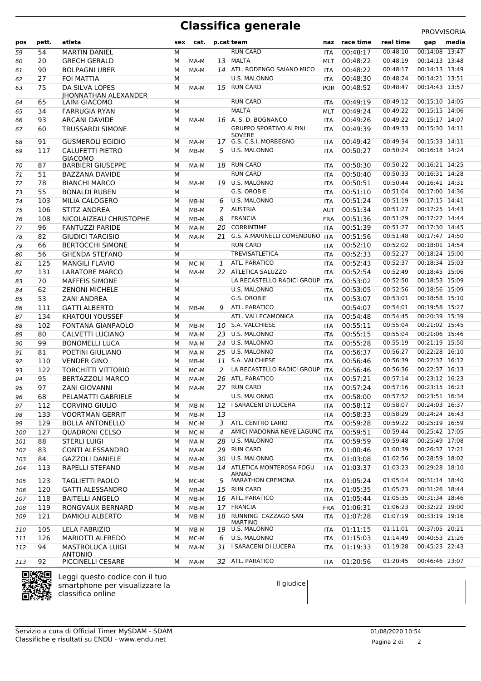## **Classifica generale**

| PROVVISORIA |                    |                             |     |      |    |                                          |            |           |           |                |       |
|-------------|--------------------|-----------------------------|-----|------|----|------------------------------------------|------------|-----------|-----------|----------------|-------|
| pos         | pett.              | atleta                      | sex | cat. |    | p.cat team                               | naz        | race time | real time | gap            | media |
| 59          | 54                 | <b>MARTIN DANIEL</b>        | M   |      |    | <b>RUN CARD</b>                          | <b>ITA</b> | 00:48:17  | 00:48:10  | 00:14:08 13:47 |       |
| 60          | 20                 | <b>GRECH GERALD</b>         | M   | MA-M | 13 | MALTA                                    | <b>MLT</b> | 00:48:22  | 00:48:19  | 00:14:13 13:48 |       |
| 61          | 90                 | <b>BOLPAGNI UBER</b>        | M   | MA-M |    | 14 ATL. RODENGO SAIANO MICO              | <b>ITA</b> | 00:48:22  | 00:48:17  | 00:14:13 13:49 |       |
| 62          | 27                 | <b>FOI MATTIA</b>           | M   |      |    | <b>U.S. MALONNO</b>                      | <b>ITA</b> | 00:48:30  | 00:48:24  | 00:14:21 13:51 |       |
| 63          | 75                 | DA SILVA LOPES              | M   | MA-M | 15 | <b>RUN CARD</b>                          | <b>POR</b> | 00:48:52  | 00:48:47  | 00:14:43 13:57 |       |
|             |                    | <b>IHONNATHAN ALEXANDER</b> |     |      |    |                                          |            |           |           |                |       |
| 64          | 65                 | LAINI GIACOMO               | M   |      |    | <b>RUN CARD</b>                          | <b>ITA</b> | 00:49:19  | 00:49:12  | 00:15:10 14:05 |       |
| 65          | 34                 | <b>FARRUGIA RYAN</b>        | M   |      |    | <b>MALTA</b>                             | MLT        | 00:49:24  | 00:49:22  | 00:15:15 14:06 |       |
| 66          | 93                 | <b>ARCANI DAVIDE</b>        | M   | MA-M | 16 | A. S. D. BOGNANCO                        | <b>ITA</b> | 00:49:26  | 00:49:22  | 00:15:17 14:07 |       |
| 67          | 60                 | <b>TRUSSARDI SIMONE</b>     | M   |      |    | <b>GRUPPO SPORTIVO ALPINI</b>            | <b>ITA</b> | 00:49:39  | 00:49:33  | 00:15:30 14:11 |       |
| 68          | 91                 | <b>GUSMEROLI EGIDIO</b>     | м   | MA-M |    | <b>SOVERE</b><br>17 G.S. C.S.I. MORBEGNO | <b>ITA</b> | 00:49:42  | 00:49:34  | 00:15:33 14:11 |       |
| 69          | 117                | <b>CALUFETTI PIETRO</b>     | м   | MB-M | 5  | U.S. MALONNO                             | <b>ITA</b> | 00:50:27  | 00:50:24  | 00:16:18 14:24 |       |
|             |                    | <b>GIACOMO</b>              |     |      |    |                                          |            |           |           |                |       |
| 70          | 87                 | <b>BARBIERI GIUSEPPE</b>    | м   | MA-M | 18 | <b>RUN CARD</b>                          | <b>ITA</b> | 00:50:30  | 00:50:22  | 00:16:21 14:25 |       |
| 71          | 51                 | <b>BAZZANA DAVIDE</b>       | M   |      |    | <b>RUN CARD</b>                          | ITA        | 00:50:40  | 00:50:33  | 00:16:31 14:28 |       |
| 72          | 78                 | <b>BIANCHI MARCO</b>        | M   | MA-M | 19 | U.S. MALONNO                             | <b>ITA</b> | 00:50:51  | 00:50:44  | 00:16:41 14:31 |       |
| 73          | 55                 | <b>BONALDI RUBEN</b>        | M   |      |    | G.S. OROBIE                              | <b>ITA</b> | 00:51:10  | 00:51:04  | 00:17:00 14:36 |       |
| 74          | 103                | MILIA CALOGERO              | M   | MB-M | 6  | <b>U.S. MALONNO</b>                      | <b>ITA</b> | 00:51:24  | 00:51:19  | 00:17:15 14:41 |       |
| 75          | 106                | <b>STITZ ANDREA</b>         | M   | MB-M | 7  | <b>AUSTRIA</b>                           | <b>AUT</b> | 00:51:34  | 00:51:27  | 00:17:25 14:43 |       |
| 76          | 108                | NICOLAIZEAU CHRISTOPHE      | м   | MB-M | 8  | <b>FRANCIA</b>                           | <b>FRA</b> | 00:51:36  | 00:51:29  | 00:17:27 14:44 |       |
| 77          | 96                 | <b>FANTUZZI PARIDE</b>      | M   | MA-M | 20 | <b>CORRINTIME</b>                        | ITA        | 00:51:39  | 00:51:27  | 00:17:30 14:45 |       |
| 78          | 82                 | <b>GIUDICI TARCISIO</b>     | M   | MA-M | 21 | G.S. A.MARINELLI COMENDUNO               | <b>ITA</b> | 00:51:56  | 00:51:48  | 00:17:47 14:50 |       |
| 79          | 66                 | <b>BERTOCCHI SIMONE</b>     | M   |      |    | <b>RUN CARD</b>                          | <b>ITA</b> | 00:52:10  | 00:52:02  | 00:18:01 14:54 |       |
| 80          | 56                 | <b>GHENDA STEFANO</b>       | M   |      |    | <b>TREVISATLETICA</b>                    | <b>ITA</b> | 00:52:33  | 00:52:27  | 00:18:24 15:00 |       |
| 81          | 125                | <b>MANGILI FLAVIO</b>       | M   | MC-M | 1  | ATL. PARATICO                            | <b>ITA</b> | 00:52:43  | 00:52:37  | 00:18:34 15:03 |       |
| 82          | 131                | <b>LARATORE MARCO</b>       | M   | MA-M | 22 | ATLETICA SALUZZO                         | ITA        | 00:52:54  | 00:52:49  | 00:18:45 15:06 |       |
| 83          | 70                 | <b>MAFFEIS SIMONE</b>       | M   |      |    | LA RECASTELLO RADICI GROUP               | <b>ITA</b> | 00:53:02  | 00:52:50  | 00:18:53 15:09 |       |
| 84          | 62                 | <b>ZENONI MICHELE</b>       | M   |      |    | U.S. MALONNO                             | <b>ITA</b> | 00:53:05  | 00:52:56  | 00:18:56 15:09 |       |
| 85          | 53                 | ZANI ANDREA                 | M   |      |    | G.S. OROBIE                              | <b>ITA</b> | 00:53:07  | 00:53:01  | 00:18:58 15:10 |       |
| 86          | 111                | <b>GATTI ALBERTO</b>        | M   | MB-M | 9  | ATL. PARATICO                            |            | 00:54:07  | 00:54:01  | 00:19:58 15:27 |       |
| 87          | 134                | <b>KHATOUI YOUSSEF</b>      | M   |      |    | ATL. VALLECAMONICA                       | <b>ITA</b> | 00:54:48  | 00:54:45  | 00:20:39 15:39 |       |
| 88          | 102                | <b>FONTANA GIANPAOLO</b>    | м   | MB-M | 10 | S.A. VALCHIESE                           | <b>ITA</b> | 00:55:11  | 00:55:04  | 00:21:02 15:45 |       |
| 89          | 80                 | CALVETTI LUCIANO            | M   | MA-M | 23 | U.S. MALONNO                             | ITA        | 00:55:15  | 00:55:04  | 00:21:06 15:46 |       |
| 90          | 99                 | <b>BONOMELLI LUCA</b>       | M   | MA-M | 24 | U.S. MALONNO                             | <b>ITA</b> | 00:55:28  | 00:55:19  | 00:21:19 15:50 |       |
| 91          | 81                 | POETINI GIULIANO            | м   | MA-M | 25 | U.S. MALONNO                             | ITA        | 00:56:37  | 00:56:27  | 00:22:28 16:10 |       |
| 92          | 110                | <b>VENDER GINO</b>          | M   | MB-M | 11 | S.A. VALCHIESE                           | <b>ITA</b> | 00:56:46  | 00:56:39  | 00:22:37 16:12 |       |
| 93          | 122                | <b>TORCHITTI VITTORIO</b>   | M   | MC-M | 2  | LA RECASTELLO RADICI GROUP               | <b>ITA</b> | 00:56:46  | 00:56:36  | 00:22:37 16:13 |       |
| 94          | 95                 | <b>BERTAZZOLI MARCO</b>     | M   | MA-M | 26 | ATL. PARATICO                            | <b>ITA</b> | 00:57:21  | 00:57:14  | 00:23:12 16:23 |       |
| 95          | 97                 | <b>ZANI GIOVANNI</b>        | M   | MA-M |    | 27 RUN CARD                              | <b>ITA</b> | 00:57:24  | 00:57:16  | 00:23:15 16:23 |       |
| 96          | 68                 | PELAMATTI GABRIELE          | М   |      |    | U.S. MALONNO                             | <b>ITA</b> | 00:58:00  | 00:57:52  | 00:23:51 16:34 |       |
| 97          | 112                | <b>CORVINO GIULIO</b>       | M   | MB-M | 12 | I SARACENI DI LUCERA                     | ITA        | 00:58:12  | 00:58:07  | 00:24:03 16:37 |       |
| 98          | 133                | <b>VOORTMAN GERRIT</b>      | М   | MB-M | 13 |                                          | ITA        | 00:58:33  | 00:58:29  | 00:24:24 16:43 |       |
| 99          | 129                | <b>BOLLA ANTONELLO</b>      | М   | MC-M | 3  | ATL. CENTRO LARIO                        | <b>ITA</b> | 00:59:28  | 00:59:22  | 00:25:19 16:59 |       |
| 100         | 127                | <b>QUADRONI CELSO</b>       | М   | MC-M | 4  | AMICI MADONNA NEVE LAGUNC ITA            |            | 00:59:51  | 00:59:44  | 00:25:42 17:05 |       |
| 101         | 88                 | <b>STERLI LUIGI</b>         | М   | MA-M | 28 | U.S. MALONNO                             | <b>ITA</b> | 00:59:59  | 00:59:48  | 00:25:49 17:08 |       |
| 102         | 83                 | CONTI ALESSANDRO            | М   | MA-M | 29 | <b>RUN CARD</b>                          | ITA        | 01:00:46  | 01:00:39  | 00:26:37 17:21 |       |
| 103         | 84                 | <b>GAZZOLI DANIELE</b>      | м   | MA-M | 30 | U.S. MALONNO                             | <b>ITA</b> | 01:03:08  | 01:02:56  | 00:28:59 18:02 |       |
| 104         | 113                | RAPELLI STEFANO             | М   | MB-M |    | 14 ATLETICA MONTEROSA FOGU               | ITA        | 01:03:37  | 01:03:23  | 00:29:28 18:10 |       |
|             |                    |                             |     |      |    | <b>ARNAD</b>                             |            |           |           |                |       |
| 105         | 123                | <b>TAGLIETTI PAOLO</b>      | М   | MC-M | 5  | <b>MARATHON CREMONA</b>                  | <b>ITA</b> | 01:05:24  | 01:05:14  | 00:31:14 18:40 |       |
| 106         | 120                | <b>GATTI ALESSANDRO</b>     | М   | MB-M | 15 | <b>RUN CARD</b>                          | ITA        | 01:05:35  | 01:05:23  | 00:31:26 18:44 |       |
| 107         | 118                | <b>BAITELLI ANGELO</b>      | М   | MB-M |    | 16 ATL. PARATICO                         | <b>ITA</b> | 01:05:44  | 01:05:35  | 00:31:34 18:46 |       |
| 108         | 119                | RONGVAUX BERNARD            | М   | MB-M | 17 | <b>FRANCIA</b>                           | FRA        | 01:06:31  | 01:06:23  | 00:32:22 19:00 |       |
| 109         | 121                | DAMIOLI ALBERTO             | М   | MB-M |    | 18 RUNNING CAZZAGO SAN<br><b>MARTINO</b> | ITA        | 01:07:28  | 01:07:19  | 00:33:19 19:16 |       |
| 110         | 105                | LELA FABRIZIO               | М   | MB-M | 19 | U.S. MALONNO                             | <b>ITA</b> | 01:11:15  | 01:11:01  | 00:37:05 20:21 |       |
| 111         | 126                | <b>MARIOTTI ALFREDO</b>     | М   | MC-M | 6  | U.S. MALONNO                             | ITA        | 01:15:03  | 01:14:49  | 00:40:53 21:26 |       |
| 112         | 94                 | MASTROLUCA LUIGI            | М   | MA-M |    | 31 I SARACENI DI LUCERA                  | <b>ITA</b> | 01:19:33  | 01:19:28  | 00:45:23 22:43 |       |
|             |                    | <b>ANTONIO</b>              |     |      |    |                                          |            |           |           |                |       |
| 113         | 92                 | PICCINELLI CESARE           | М   | MA-M |    | 32 ATL. PARATICO                         | <b>ITA</b> | 01:20:56  | 01:20:45  | 00:46:46 23:07 |       |
|             | <b>REDUCED FOR</b> |                             |     |      |    |                                          |            |           |           |                |       |



Leggi questo codice con il tuo smartphone per visualizzare la classifica online

Il giudice